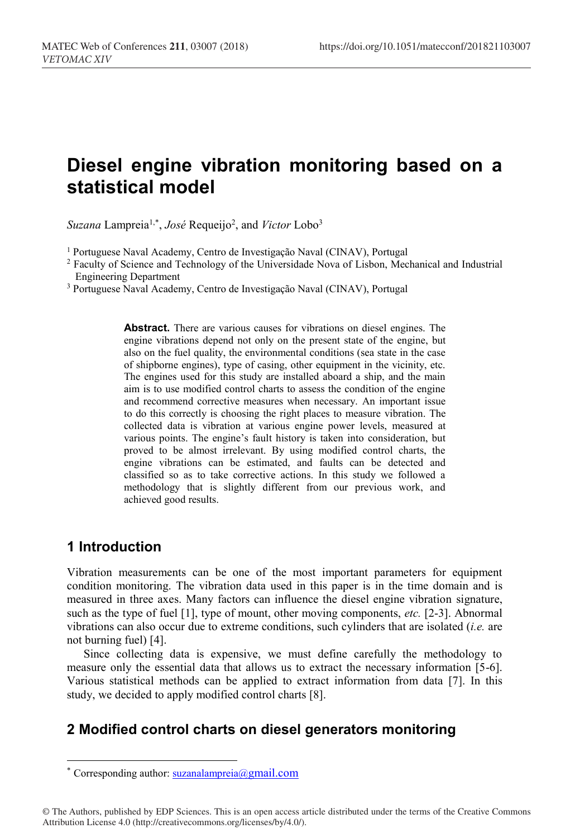# **Diesel engine vibration monitoring based on a statistical model**

*Suzana* Lampreia1,\* , *José* Requeijo2 , and *Victor* Lobo3

<sup>1</sup> Portuguese Naval Academy, Centro de Investigação Naval (CINAV), Portugal

<sup>2</sup> Faculty of Science and Technology of the Universidade Nova of Lisbon, Mechanical and Industrial Engineering Department

<sup>3</sup> Portuguese Naval Academy, Centro de Investigação Naval (CINAV), Portugal

**Abstract.** There are various causes for vibrations on diesel engines. The engine vibrations depend not only on the present state of the engine, but also on the fuel quality, the environmental conditions (sea state in the case of shipborne engines), type of casing, other equipment in the vicinity, etc. The engines used for this study are installed aboard a ship, and the main aim is to use modified control charts to assess the condition of the engine and recommend corrective measures when necessary. An important issue to do this correctly is choosing the right places to measure vibration. The collected data is vibration at various engine power levels, measured at various points. The engine's fault history is taken into consideration, but proved to be almost irrelevant. By using modified control charts, the engine vibrations can be estimated, and faults can be detected and classified so as to take corrective actions. In this study we followed a methodology that is slightly different from our previous work, and achieved good results.

## **1 Introduction**

 $\overline{a}$ 

Vibration measurements can be one of the most important parameters for equipment condition monitoring. The vibration data used in this paper is in the time domain and is measured in three axes. Many factors can influence the diesel engine vibration signature, such as the type of fuel [1], type of mount, other moving components, *etc.* [2-3]. Abnormal vibrations can also occur due to extreme conditions, such cylinders that are isolated (*i.e.* are not burning fuel) [4].

Since collecting data is expensive, we must define carefully the methodology to measure only the essential data that allows us to extract the necessary information [5-6]. Various statistical methods can be applied to extract information from data [7]. In this study, we decided to apply modified control charts [8].

# **2 Modified control charts on diesel generators monitoring**

<sup>\*</sup> Corresponding author:  $suzanalampreia@gmail.com$ 

<sup>©</sup> The Authors, published by EDP Sciences. This is an open access article distributed under the terms of the Creative Commons Attribution License 4.0 (http://creativecommons.org/licenses/by/4.0/).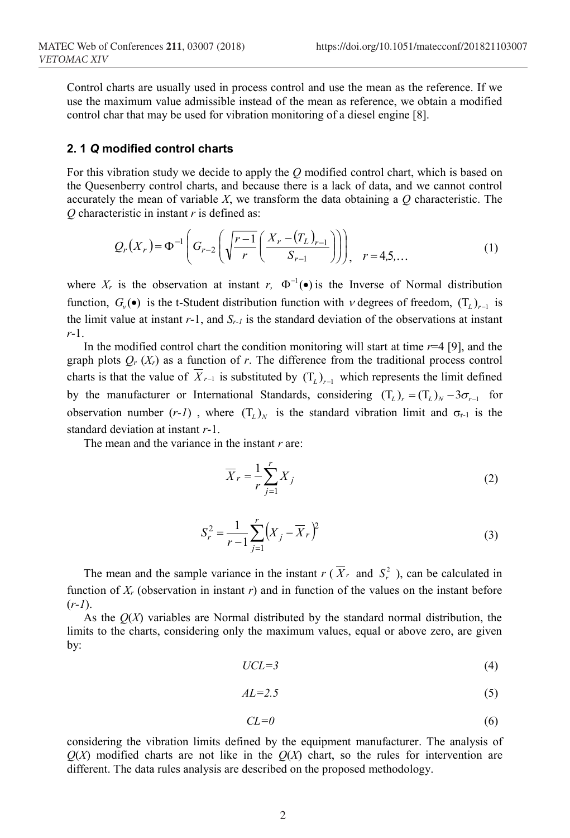Control charts are usually used in process control and use the mean as the reference. If we use the maximum value admissible instead of the mean as reference, we obtain a modified control char that may be used for vibration monitoring of a diesel engine [8].

#### **2. 1** *Q* **modified control charts**

For this vibration study we decide to apply the *Q* modified control chart, which is based on the Quesenberry control charts, and because there is a lack of data, and we cannot control accurately the mean of variable  $X$ , we transform the data obtaining a  $Q$  characteristic. The *Q* characteristic in instant *r* is defined as:

$$
Q_r(X_r) = \Phi^{-1}\left(G_{r-2}\left(\sqrt{\frac{r-1}{r}}\left(\frac{X_r - (T_L)_{r-1}}{S_{r-1}}\right)\right)\right), \quad r = 4, 5, ... \tag{1}
$$

where  $X_r$  is the observation at instant *r*,  $\Phi^{-1}(\bullet)$  is the Inverse of Normal distribution function,  $G_v$  • is the t-Student distribution function with  $v$  degrees of freedom,  $(T_L)_{r-1}$  is the limit value at instant *r-*1, and *Sr-1* is the standard deviation of the observations at instant *r-*1.

In the modified control chart the condition monitoring will start at time *r*=4 [9], and the graph plots  $Q_r(X_r)$  as a function of *r*. The difference from the traditional process control charts is that the value of  $\overline{X}_{r-1}$  is substituted by  $(T_L)_{r-1}$  which represents the limit defined by the manufacturer or International Standards, considering  $(T_L)_{r} = (T_L)_{N} - 3\sigma_{r-1}$  for observation number  $(r-1)$ , where  $(T_L)_{N}$  is the standard vibration limit and  $\sigma_{r-1}$  is the standard deviation at instant *r*-1.

The mean and the variance in the instant *r* are:

$$
\overline{X}_r = \frac{1}{r} \sum_{j=1}^r X_j \tag{2}
$$

$$
S_r^2 = \frac{1}{r-1} \sum_{j=1}^r \left( X_j - \overline{X}_r \right)^2
$$
 (3)

The mean and the sample variance in the instant  $r(X_r)$  and  $S_r^2$ , can be calculated in function of  $X_r$  (observation in instant  $r$ ) and in function of the values on the instant before (*r-1*).

As the *Q*(*X*) variables are Normal distributed by the standard normal distribution, the limits to the charts, considering only the maximum values, equal or above zero, are given by:

$$
UCL=3\tag{4}
$$

$$
AL=2.5\tag{5}
$$

$$
CL=0\tag{6}
$$

considering the vibration limits defined by the equipment manufacturer. The analysis of  $Q(X)$  modified charts are not like in the  $Q(X)$  chart, so the rules for intervention are different. The data rules analysis are described on the proposed methodology.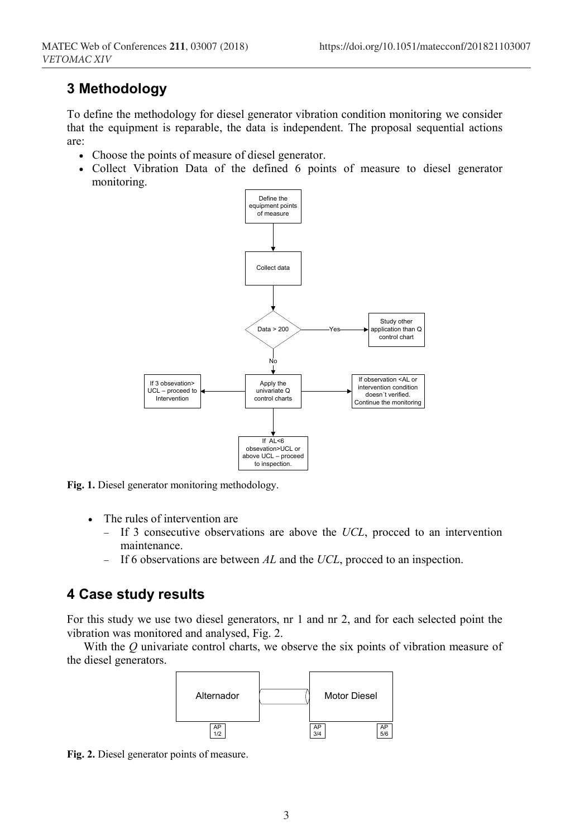# **3 Methodology**

To define the methodology for diesel generator vibration condition monitoring we consider that the equipment is reparable, the data is independent. The proposal sequential actions are:

- Choose the points of measure of diesel generator.
- Collect Vibration Data of the defined 6 points of measure to diesel generator monitoring.



**Fig. 1.** Diesel generator monitoring methodology.

- The rules of intervention are
	- − If 3 consecutive observations are above the *UCL*, procced to an intervention maintenance.
	- − If 6 observations are between *AL* and the *UCL*, procced to an inspection.

### **4 Case study results**

For this study we use two diesel generators, nr 1 and nr 2, and for each selected point the vibration was monitored and analysed, Fig. 2.

With the *Q* univariate control charts, we observe the six points of vibration measure of the diesel generators.



**Fig. 2.** Diesel generator points of measure.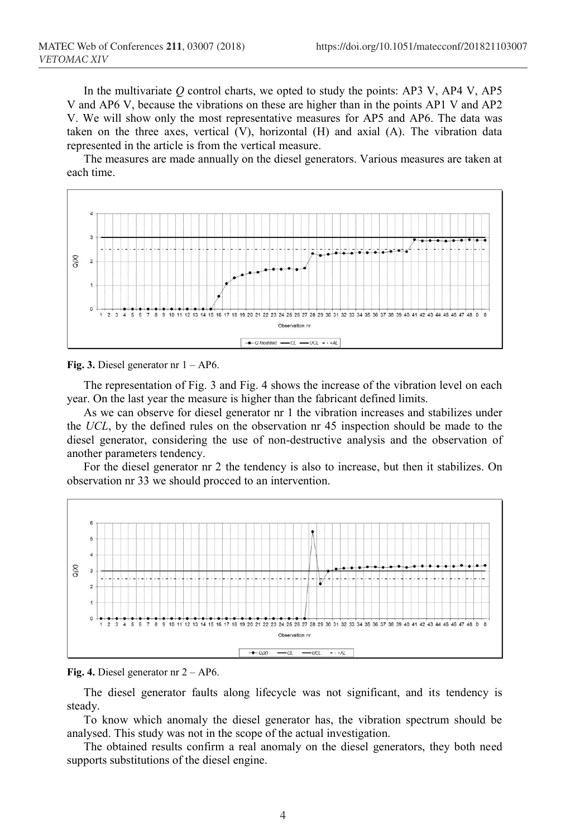In the multivariate *Q* control charts, we opted to study the points: AP3 V, AP4 V, AP5 V and AP6 V, because the vibrations on these are higher than in the points AP1 V and AP2 V. We will show only the most representative measures for AP5 and AP6. The data was taken on the three axes, vertical (V), horizontal (H) and axial (A). The vibration data represented in the article is from the vertical measure.

The measures are made annually on the diesel generators. Various measures are taken at each time.



**Fig. 3.** Diesel generator nr 1 – AP6.

The representation of Fig. 3 and Fig. 4 shows the increase of the vibration level on each year. On the last year the measure is higher than the fabricant defined limits.

As we can observe for diesel generator nr 1 the vibration increases and stabilizes under the *UCL*, by the defined rules on the observation nr 45 inspection should be made to the diesel generator, considering the use of non-destructive analysis and the observation of another parameters tendency.

For the diesel generator nr 2 the tendency is also to increase, but then it stabilizes. On observation nr 33 we should procced to an intervention.



**Fig. 4.** Diesel generator nr 2 – AP6.

The diesel generator faults along lifecycle was not significant, and its tendency is steady.

To know which anomaly the diesel generator has, the vibration spectrum should be analysed. This study was not in the scope of the actual investigation.

The obtained results confirm a real anomaly on the diesel generators, they both need supports substitutions of the diesel engine.